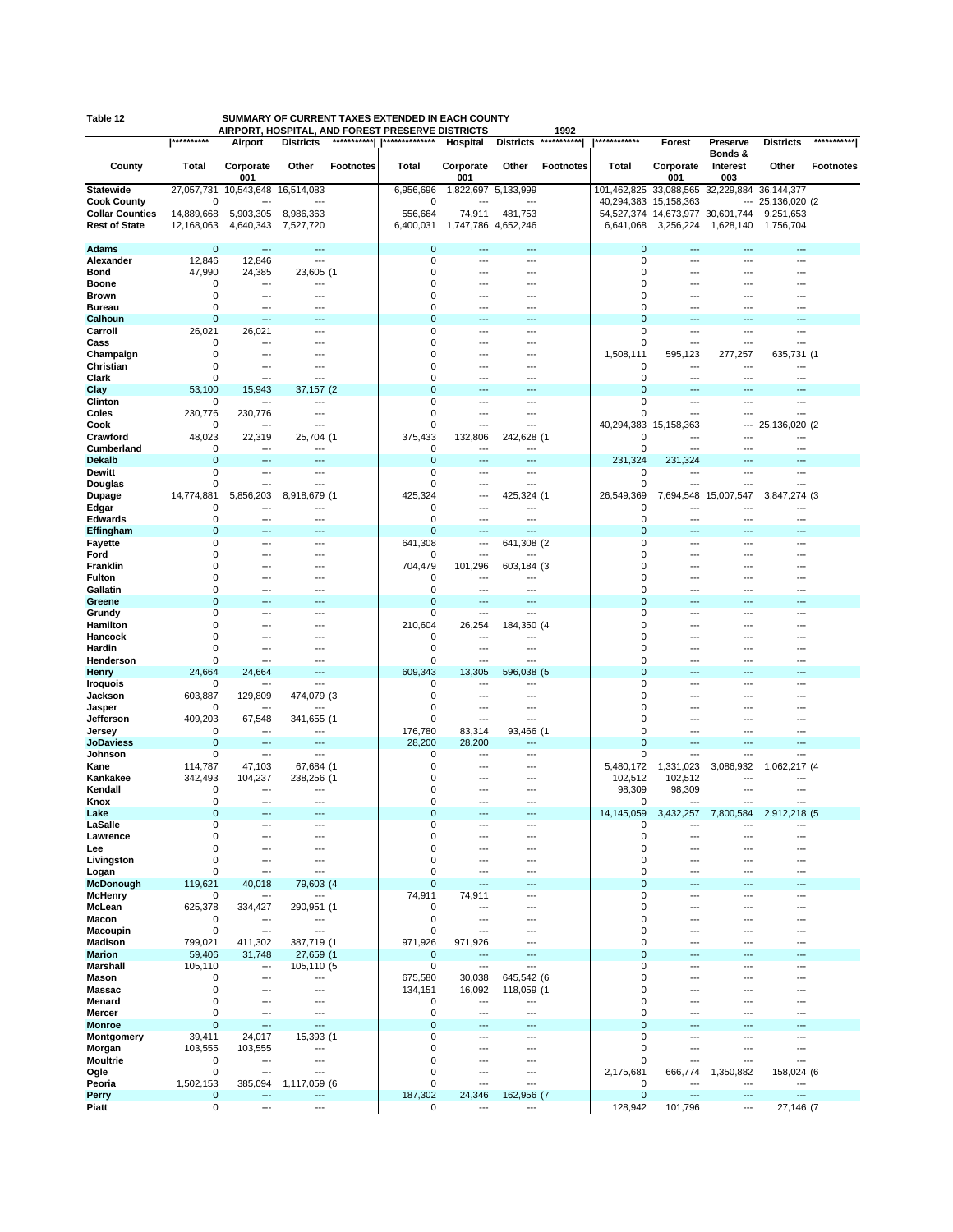|                               | **********                 |                          | AIRPORT, HOSPITAL, AND FOREST PRESERVE DISTRICTS<br>*********** | **************             |                     |                                 | 1992<br>*********** | ************               |                                   |                                  |                         | ***********      |
|-------------------------------|----------------------------|--------------------------|-----------------------------------------------------------------|----------------------------|---------------------|---------------------------------|---------------------|----------------------------|-----------------------------------|----------------------------------|-------------------------|------------------|
|                               |                            | Airport                  | <b>Districts</b>                                                |                            | Hospital            | <b>Districts</b>                |                     |                            | Forest                            | Preserve<br>Bonds &              | <b>Districts</b>        |                  |
| County                        | Total                      | Corporate                | Other<br><b>Footnotes</b>                                       | <b>Total</b>               | Corporate           | Other                           | <b>Footnotes</b>    | Total                      | Corporate                         | Interest                         | Other                   | <b>Footnotes</b> |
|                               |                            | 001                      |                                                                 |                            | 001                 |                                 |                     |                            | 001                               | 003                              |                         |                  |
| <b>Statewide</b>              | 27,057,731                 | 10,543,648               | 16,514,083                                                      | 6,956,696                  |                     | 1,822,697 5,133,999             |                     | 101,462,825                |                                   | 33,088,565 32,229,884 36,144,377 |                         |                  |
| <b>Cook County</b>            | 0                          |                          | ---                                                             | 0                          |                     |                                 |                     | 40,294,383                 | 15,158,363                        |                                  | $-25,136,020$ (2)       |                  |
| <b>Collar Counties</b>        | 14,889,668                 | 5,903,305                | 8,986,363                                                       | 556,664                    | 74,911              | 481,753                         |                     |                            | 54,527,374 14,673,977 30,601,744  |                                  | 9,251,653               |                  |
| <b>Rest of State</b>          | 12,168,063                 | 4,640,343                | 7,527,720                                                       | 6,400,031                  | 1,747,786 4,652,246 |                                 |                     | 6,641,068                  | 3,256,224                         | 1,628,140                        | 1,756,704               |                  |
| <b>Adams</b>                  | $\mathbf 0$                | ---                      | ---                                                             | $\mathbf 0$                | ---                 | ---                             |                     | 0                          | ---                               | ---                              | ---                     |                  |
| Alexander                     | 12,846                     | 12,846                   | ---                                                             | $\mathbf 0$                | ---                 | ---                             |                     | 0                          | ---                               | ---                              | ---                     |                  |
| Bond                          | 47,990                     | 24,385                   | 23,605 (1                                                       | $\mathbf 0$                |                     | ---                             |                     | $\mathbf 0$                | ---                               |                                  | ---                     |                  |
| <b>Boone</b>                  | 0                          | ---                      | ---                                                             | 0                          |                     | ---                             |                     | $\mathbf 0$                | ---                               | ---                              | ---                     |                  |
| <b>Brown</b><br><b>Bureau</b> | 0<br>0                     | ---<br>$\overline{a}$    | ---                                                             | 0<br>0                     | −−                  | ---<br>---                      |                     | 0<br>$\mathbf 0$           | ---<br>---                        | ---                              | ---                     |                  |
| Calhoun                       | $\mathbf 0$                | $-$                      |                                                                 | $\mathbf 0$                | −−                  | ---                             |                     | $\Omega$                   |                                   |                                  |                         |                  |
| Carroll                       | 26,021                     | 26,021                   | ---                                                             | $\mathbf 0$                | ---                 | ---                             |                     | $\mathbf 0$                | ---                               | ---                              | ---                     |                  |
| Cass                          | 0                          | ---                      | ---                                                             | 0                          |                     | ---                             |                     | $\mathbf 0$                | ---                               | ---                              |                         |                  |
| Champaign                     | $\mathbf 0$                | ---                      |                                                                 | 0                          | ---                 | ---                             |                     | 1,508,111                  | 595,123                           | 277,257                          | 635,731 (1              |                  |
| Christian<br>Clark            | 0<br>0                     | ---<br>---               | ---                                                             | 0<br>0                     | ---                 | ---<br>---                      |                     | 0<br>$\mathbf 0$           | ---                               | ---<br>---                       | ---                     |                  |
| Clay                          | 53,100                     | 15,943                   | 37,157 (2                                                       | $\mathbf 0$                |                     |                                 |                     | $\mathbf 0$                |                                   |                                  |                         |                  |
| Clinton                       | 0                          | ---                      | ---                                                             | 0                          | ---                 | ---                             |                     | 0                          | ---                               | ---                              | ---                     |                  |
| Coles                         | 230,776                    | 230,776                  | ---                                                             | 0                          | ---                 | ---                             |                     | $\mathbf 0$                | $\overline{\phantom{a}}$          | ---                              | ---                     |                  |
| Cook                          | 0                          | ---                      | ---                                                             | 0                          | ---                 | ---                             |                     | 40,294,383                 | 15,158,363                        | ---                              | 25,136,020 (2           |                  |
| Crawford                      | 48,023                     | 22,319<br>---            | 25,704 (1                                                       | 375,433<br>0               | 132,806             | 242,628 (1                      |                     | 0<br>0                     | ---<br>$---$                      | ---<br>$---$                     | ---                     |                  |
| Cumberland<br><b>Dekalb</b>   | 0<br>$\mathbf 0$           | $---$                    | $---$<br>---                                                    | $\mathbf 0$                | $---$<br>---        | $\overline{\phantom{a}}$<br>--- |                     | 231,324                    | 231,324                           |                                  | $---$<br>$---$          |                  |
| Dewitt                        | 0                          | ---                      | ---                                                             | 0                          | ---                 | ---                             |                     | 0                          | $---$                             | ---                              | ---                     |                  |
| Douglas                       | $\mathbf 0$                | ---                      | ---                                                             | 0                          | ---                 | ---                             |                     | 0                          | $---$                             | ---                              | ---                     |                  |
| Dupage                        | 14,774,881                 | 5,856,203                | 8,918,679 (1                                                    | 425,324                    | ---                 | 425,324 (1                      |                     | 26,549,369                 | 7,694,548                         | 15,007,547                       | 3,847,274 (3            |                  |
| Edgar                         | $\mathbf 0$                | $---$                    | ---                                                             | 0                          | ---                 | ---                             |                     | 0                          | ---                               | ---                              | ---                     |                  |
| <b>Edwards</b><br>Effingham   | $\mathbf 0$<br>$\mathbf 0$ | $---$<br>---             | ---<br>---                                                      | $\mathbf 0$<br>$\mathbf 0$ | ---<br>---          | $\overline{a}$<br>---           |                     | 0<br>0                     | $\overline{\phantom{a}}$<br>---   | $- -$<br>---                     | ---<br>$---$            |                  |
| Fayette                       | $\mathbf 0$                | ---                      | ---                                                             | 641,308                    | ---                 | 641,308 (2                      |                     | 0                          | $\overline{\phantom{a}}$          | ---                              | ---                     |                  |
| Ford                          | $\mathbf 0$                | ---                      | ---                                                             | 0                          | ---                 | ---                             |                     | 0                          | $---$                             | ---                              | ---                     |                  |
| Franklin                      | $\mathbf 0$                | ---                      |                                                                 | 704,479                    | 101,296             | 603,184 (3                      |                     | $\Omega$                   | ---                               |                                  |                         |                  |
| <b>Fulton</b>                 | 0                          | ---                      |                                                                 | 0                          | ---                 |                                 |                     | $\mathbf 0$                | ---                               | ---                              | ---                     |                  |
| Gallatin<br>Greene            | $\mathbf 0$<br>$\mathbf 0$ | ---                      |                                                                 | 0<br>$\mathbf 0$           | ---                 | ---<br>---                      |                     | 0<br>$\mathbf 0$           | ---                               |                                  | ---                     |                  |
| Grundy                        | $\mathbf 0$                | ---                      |                                                                 | 0                          | ---                 | ---                             |                     | 0                          |                                   |                                  |                         |                  |
| Hamilton                      | 0                          | ---                      | ---                                                             | 210,604                    | 26,254              | 184,350 (4                      |                     | 0                          | ---                               | ---                              | ---                     |                  |
| Hancock                       | $\mathbf 0$                |                          |                                                                 | 0                          | ---                 | ---                             |                     | $\mathbf 0$                | ---                               | ---                              |                         |                  |
| Hardin                        | 0                          | ---                      |                                                                 | 0                          | ---                 | ---                             |                     | $\mathbf 0$                | ---                               | ---                              | ---                     |                  |
| Henderson                     | 0<br>24,664                | $\overline{a}$<br>24,664 | ---<br>---                                                      | 0<br>609,343               | ---<br>13,305       | ---<br>596,038 (5               |                     | $\mathbf 0$<br>$\mathbf 0$ | ---<br>$\overline{\phantom{a}}$   | ---<br>---                       | ---<br>---              |                  |
| Henry<br><b>Iroquois</b>      | 0                          |                          | ---                                                             | 0                          | ---                 | ---                             |                     | $\mathbf 0$                | $\overline{\phantom{a}}$          | ---                              | ---                     |                  |
| Jackson                       | 603,887                    | 129,809                  | 474,079 (3                                                      | 0                          | ---                 | ---                             |                     | $\mathbf 0$                | $---$                             | ---                              | ---                     |                  |
| Jasper                        | 0                          | $\overline{\phantom{a}}$ | ---                                                             | 0                          | ---                 | ---                             |                     | 0                          | $\overline{\phantom{a}}$          | ---                              | ---                     |                  |
| Jefferson                     | 409,203                    | 67,548                   | 341,655 (1                                                      | 0                          | ---                 | ---                             |                     | 0                          | $\overline{\phantom{a}}$          | ---                              | ---                     |                  |
| Jersey<br><b>JoDaviess</b>    | 0<br>$\mathbf 0$           | $---$<br>---             | ---<br>---                                                      | 176,780<br>28,200          | 83,314<br>28,200    | 93,466 (1<br>---                |                     | 0<br>$\mathbf 0$           | $---$<br>$\overline{\phantom{a}}$ | ---<br>---                       | ---<br>---              |                  |
| Johnson                       | 0                          | $\overline{\phantom{a}}$ | ---                                                             | 0                          | ---                 | $---$                           |                     | $\mathbf 0$                | ---                               | ---                              | ---                     |                  |
| Kane                          | 114,787                    | 47,103                   | 67,684 (1                                                       | 0                          | ---                 | ---                             |                     | 5,480,172                  | 1,331,023                         | 3,086,932                        | 1,062,217 (4            |                  |
| Kankakee                      | 342,493                    | 104,237                  | 238,256 (1                                                      | $\mathbf 0$                | ---                 | ---                             |                     | 102,512                    | 102,512                           |                                  |                         |                  |
| Kendall                       | 0                          | $---$                    | ---                                                             | 0                          | ---                 | ---                             |                     | 98,309                     | 98,309                            | ---                              |                         |                  |
| Knox<br>Lake                  | 0<br>$\mathbf 0$           | ---<br>---               | ---<br>---                                                      | $\mathbf 0$<br>$\mathbf 0$ | ---<br>---          | ---<br>---                      |                     | 0<br>14,145,059            | 3,432,257                         | ---<br>7,800,584                 | 2,912,218 (5            |                  |
| LaSalle                       | 0                          |                          |                                                                 | $\Omega$                   |                     |                                 |                     |                            |                                   |                                  |                         |                  |
| Lawrence                      | 0                          | ---                      | ---                                                             | $\mathbf 0$                |                     |                                 |                     | 0                          | ---                               |                                  |                         |                  |
| Lee                           | $\mathbf 0$                | ---                      | ---                                                             | $\mathbf 0$                | ---                 | ---                             |                     | 0                          | $\overline{\phantom{a}}$          | ---                              | ---                     |                  |
| Livingston                    | $\mathbf 0$                | ---                      | ---                                                             | $\mathbf 0$                |                     | ---                             |                     | 0                          | ---                               |                                  | ---                     |                  |
| Logan<br><b>McDonough</b>     | $\mathbf 0$<br>119,621     | $\overline{a}$<br>40,018 | ---<br>79,603 (4                                                | $\mathbf 0$<br>$\mathbf 0$ | ---<br>             | ---<br>---                      |                     | 0<br>$\mathbf 0$           | ---                               | ---                              | ---                     |                  |
| <b>McHenry</b>                | 0                          | ---                      |                                                                 | 74,911                     | 74,911              | ---                             |                     | 0                          | $\overline{\phantom{a}}$          | ---                              | ---                     |                  |
| McLean                        | 625,378                    | 334,427                  | 290,951 (1                                                      | 0                          | ---                 | ---                             |                     | 0                          | ---                               | ---                              | ---                     |                  |
| Macon                         | 0                          | ---                      | ---                                                             | 0                          | ---                 | ---                             |                     | 0                          | ---                               | ---                              | ---                     |                  |
| <b>Macoupin</b>               | $\mathbf 0$                | $\overline{\phantom{a}}$ | $\overline{a}$                                                  | 0                          | ---                 | ---                             |                     | $\mathbf 0$                | ---                               | ---                              | ---                     |                  |
| Madison<br><b>Marion</b>      | 799,021<br>59,406          | 411,302<br>31,748        | 387,719 (1<br>27,659 (1                                         | 971,926<br>$\mathbf 0$     | 971,926             | ---<br>---                      |                     | $\mathbf 0$<br>$\mathbf 0$ | $\overline{\phantom{a}}$          | ---                              | ---                     |                  |
| Marshall                      | 105,110                    | ---                      | 105,110 (5                                                      | $\mathbf 0$                | ---                 | ---                             |                     | $\mathbf 0$                | ---                               | ---                              | ---                     |                  |
| Mason                         | 0                          | ---                      | ---                                                             | 675,580                    | 30,038              | 645,542 (6                      |                     | $\mathbf 0$                | ---                               | ---                              | ---                     |                  |
| <b>Massac</b>                 | 0                          | ---                      | ---                                                             | 134,151                    | 16,092              | 118,059 (1                      |                     | 0                          | ---                               | ---                              | ---                     |                  |
| Menard                        | $\pmb{0}$                  | ---                      | ---                                                             | 0                          | ---                 | ---                             |                     | 0                          | $---$                             | ---                              | ---                     |                  |
| Mercer                        | $\mathbf 0$<br>$\mathbf 0$ | ---<br>$\overline{a}$    | ---<br>---                                                      | 0<br>$\mathbf 0$           | ---<br>---          | ---<br>---                      |                     | $\mathbf 0$<br>0           | $---$<br>$---$                    | $---$<br>---                     | $---$<br>$---$          |                  |
| <b>Monroe</b><br>Montgomery   | 39,411                     | 24,017                   | 15,393 (1                                                       | 0                          | ---                 | ---                             |                     | $\mathbf 0$                | $---$                             | ---                              | ---                     |                  |
| Morgan                        | 103,555                    | 103,555                  | $---$                                                           | 0                          | ---                 | ---                             |                     | 0                          | ---                               | ---                              | ---                     |                  |
| Moultrie                      | 0                          | ---                      | ---                                                             | 0                          | ---                 | ---                             |                     | $\mathbf 0$                | $---$                             | ---                              | ---                     |                  |
| Ogle                          | $\mathbf 0$                | ---                      | ---                                                             | $\mathbf 0$                | ---                 | ---                             |                     | 2,175,681                  | 666,774                           | 1,350,882                        | 158,024 (6              |                  |
| Peoria                        | 1,502,153<br>$\pmb{0}$     | 385,094<br>---           | 1,117,059 (6<br>---                                             | $\mathbf 0$<br>187,302     | ---                 | ---                             |                     | 0<br>$\mathbf 0$           | $---$<br>$---$                    | $---$<br>---                     | $---$<br>$\overline{a}$ |                  |
| Perry<br>Piatt                | $\mathbf 0$                | ---                      | ---                                                             | 0                          | 24,346<br>---       | 162,956 (7<br>---               |                     | 128,942                    | 101,796                           | ---                              | 27,146 (7               |                  |

**Table 12 SUMMARY OF CURRENT TAXES EXTENDED IN EACH COUNTY**